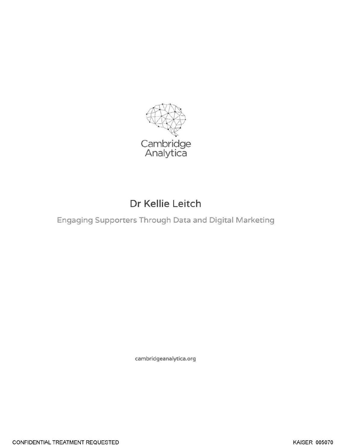

## Dr Kellie Leitch

Engaging Supporters Through Data and Digital Marketing

cambridgeanalytica.org

CONFIDENTIAL TREATMENT REQUESTED **Example 2008** KAISER\_005070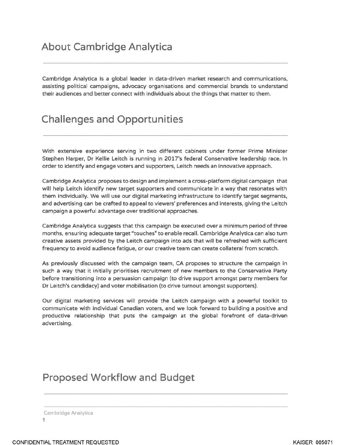Cambridge Analytica is a global leader in data-driven market research and communications, assisting political campaigns, advocacy organisations and commercial brands to understand their audiences and better connect with individuals about the things that matter to them.

## **Challenges and Opportunities**

With extensive experience serving in two different cabinets under former Prime Minister Stephen Harper, Dr Kellie Leitch is running in 2017's federal Conservative leadership race. In order to identify and engage voters and supporters, Leitch needs an innovative approach.

Cambridge Analytica proposes to design and implement a cross-platform digital campaign that will help Leitch identify new target supporters and communicate in a way that resonates with them individually. We will use our digital marketing infrastructure to identify target segments, and advertising can be crafted to appeal to viewers' preferences and interests, giving the Leitch campaign a powerful advantage over traditional approaches.

Cambridge Analytica suggests that this campaign be executed over a minimum period of three months, ensuring adequate target "touches" to enable recall. Cambridge Analytica can also turn creative assets provided by the Leitch campaign into ads that will be refreshed with sufficient frequency to avoid audience fatigue, or our creative team can create collateral from scratch.

As previously discussed with the campaign team, CA proposes to structure the campaign in such a way that it initially prioritises recruitment of new members to the Conservative Party before transitioning into a persuasion campaign (to drive support amongst party members for Dr Leitch's candidacy) and voter mobilisation (to drive turnout amongst supporters).

Our digital marketing services will provide the Leitch campaign with a powerful toolkit to communicate with individual Canadian voters, and we look forward to building a positive and productive relationship that puts the campaign at the global forefront of data-driven advertising.

## **Proposed Workflow and Budget**

Cambridge Analytica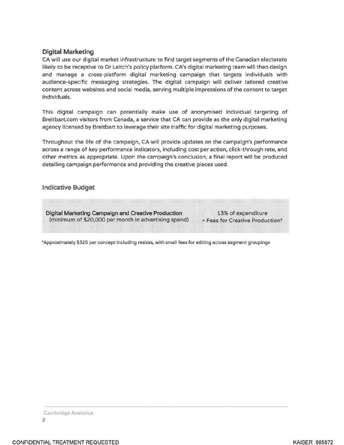## **Digital Marketing**

CA will use our digital market infrastructure to find target segments of the Canadian electorate likely to be receptive to Dr Leitch's policy platform. CA's digital marketing team will then design and manage a cross-platform digital marketing campaign that targets individuals with audience-specific messaging strategies. The digital campaign will deliver tailored creative content across websites and social media, serving multiple impressions of the content to target individuals.

This digital campaign can potentially make use of anonymised individual targeting of Breitbart.com visitors from Canada, a service that CA can provide as the only digital marketing agency licensed by Breitbart to leverage their site traffic for digital marketing purposes.

Throughout the life of the campaign, CA will provide updates on the campaign's performance across a range of key performance indicators, including cost per action, click-through rate, and other metrics as appropriate. Upon the campaign's conclusion, a final report will be produced detailing campaign performance and providing the creative pieces used.

**Indicative Budget** 

**Digital Marketing Campaign and Creative Production** (minimum of \$20,000 per month in advertising spend)

13% of expenditure + Fees for Creative Production\*

\*Approximately \$325 per concept including resizes, with small fees for editing across segment groupings